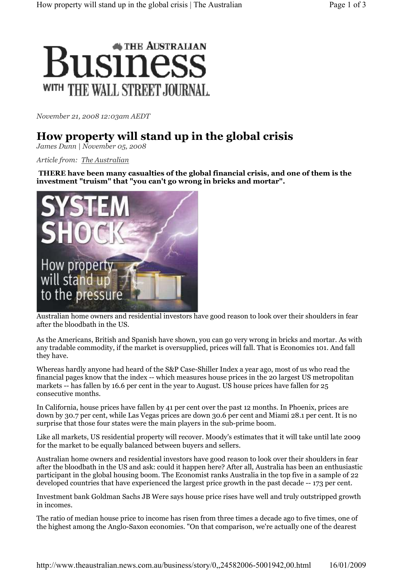

November 21, 2008 12:03am AEDT

## How property will stand up in the global crisis

James Dunn | November 05, 2008

Article from: The Australian

THERE have been many casualties of the global financial crisis, and one of them is the investment "truism" that "you can't go wrong in bricks and mortar".



Australian home owners and residential investors have good reason to look over their shoulders in fear after the bloodbath in the US.

As the Americans, British and Spanish have shown, you can go very wrong in bricks and mortar. As with any tradable commodity, if the market is oversupplied, prices will fall. That is Economics 101. And fall they have.

Whereas hardly anyone had heard of the S&P Case-Shiller Index a year ago, most of us who read the financial pages know that the index -- which measures house prices in the 20 largest US metropolitan markets -- has fallen by 16.6 per cent in the year to August. US house prices have fallen for 25 consecutive months.

In California, house prices have fallen by 41 per cent over the past 12 months. In Phoenix, prices are down by 30.7 per cent, while Las Vegas prices are down 30.6 per cent and Miami 28.1 per cent. It is no surprise that those four states were the main players in the sub-prime boom.

Like all markets, US residential property will recover. Moody's estimates that it will take until late 2009 for the market to be equally balanced between buyers and sellers.

Australian home owners and residential investors have good reason to look over their shoulders in fear after the bloodbath in the US and ask: could it happen here? After all, Australia has been an enthusiastic participant in the global housing boom. The Economist ranks Australia in the top five in a sample of 22 developed countries that have experienced the largest price growth in the past decade -- 173 per cent.

Investment bank Goldman Sachs JB Were says house price rises have well and truly outstripped growth in incomes.

The ratio of median house price to income has risen from three times a decade ago to five times, one of the highest among the Anglo-Saxon economies. "On that comparison, we're actually one of the dearest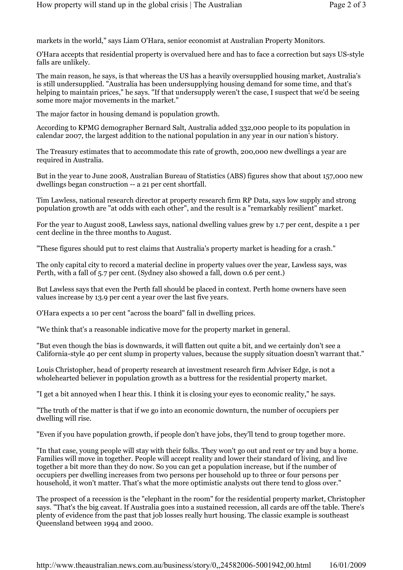markets in the world," says Liam O'Hara, senior economist at Australian Property Monitors.

O'Hara accepts that residential property is overvalued here and has to face a correction but says US-style falls are unlikely.

The main reason, he says, is that whereas the US has a heavily oversupplied housing market, Australia's is still undersupplied. "Australia has been undersupplying housing demand for some time, and that's helping to maintain prices," he says. "If that undersupply weren't the case, I suspect that we'd be seeing some more major movements in the market."

The major factor in housing demand is population growth.

According to KPMG demographer Bernard Salt, Australia added 332,000 people to its population in calendar 2007, the largest addition to the national population in any year in our nation's history.

The Treasury estimates that to accommodate this rate of growth, 200,000 new dwellings a year are required in Australia.

But in the year to June 2008, Australian Bureau of Statistics (ABS) figures show that about 157,000 new dwellings began construction -- a 21 per cent shortfall.

Tim Lawless, national research director at property research firm RP Data, says low supply and strong population growth are "at odds with each other", and the result is a "remarkably resilient" market.

For the year to August 2008, Lawless says, national dwelling values grew by 1.7 per cent, despite a 1 per cent decline in the three months to August.

"These figures should put to rest claims that Australia's property market is heading for a crash."

The only capital city to record a material decline in property values over the year, Lawless says, was Perth, with a fall of 5.7 per cent. (Sydney also showed a fall, down 0.6 per cent.)

But Lawless says that even the Perth fall should be placed in context. Perth home owners have seen values increase by 13.9 per cent a year over the last five years.

O'Hara expects a 10 per cent "across the board" fall in dwelling prices.

"We think that's a reasonable indicative move for the property market in general.

"But even though the bias is downwards, it will flatten out quite a bit, and we certainly don't see a California-style 40 per cent slump in property values, because the supply situation doesn't warrant that."

Louis Christopher, head of property research at investment research firm Adviser Edge, is not a wholehearted believer in population growth as a buttress for the residential property market.

"I get a bit annoyed when I hear this. I think it is closing your eyes to economic reality," he says.

"The truth of the matter is that if we go into an economic downturn, the number of occupiers per dwelling will rise.

"Even if you have population growth, if people don't have jobs, they'll tend to group together more.

"In that case, young people will stay with their folks. They won't go out and rent or try and buy a home. Families will move in together. People will accept reality and lower their standard of living, and live together a bit more than they do now. So you can get a population increase, but if the number of occupiers per dwelling increases from two persons per household up to three or four persons per household, it won't matter. That's what the more optimistic analysts out there tend to gloss over."

The prospect of a recession is the "elephant in the room" for the residential property market, Christopher says. "That's the big caveat. If Australia goes into a sustained recession, all cards are off the table. There's plenty of evidence from the past that job losses really hurt housing. The classic example is southeast Queensland between 1994 and 2000.